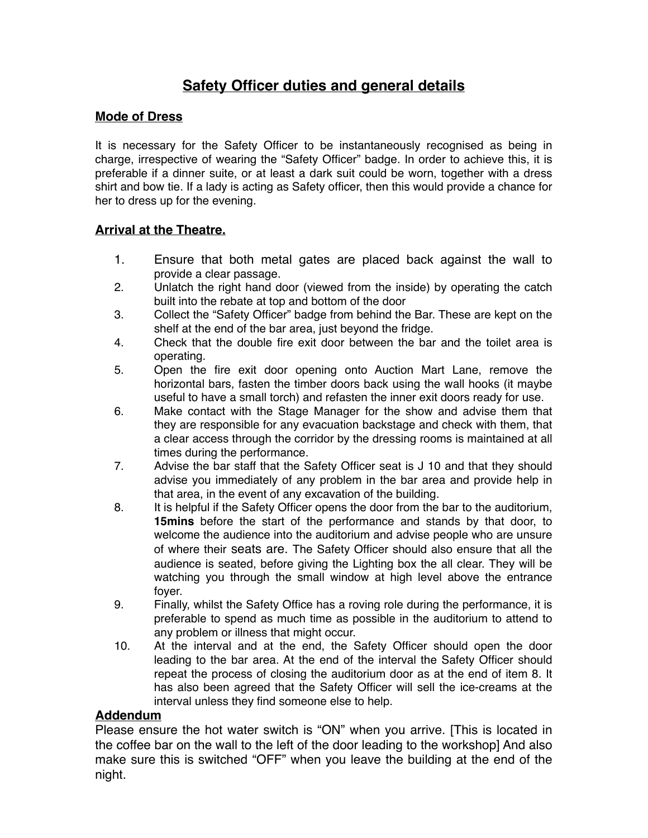# **Safety Officer duties and general details**

### **Mode of Dress**

It is necessary for the Safety Officer to be instantaneously recognised as being in charge, irrespective of wearing the "Safety Officer" badge. In order to achieve this, it is preferable if a dinner suite, or at least a dark suit could be worn, together with a dress shirt and bow tie. If a lady is acting as Safety officer, then this would provide a chance for her to dress up for the evening.

## **Arrival at the Theatre.**

- 1. Ensure that both metal gates are placed back against the wall to provide a clear passage.
- 2. Unlatch the right hand door (viewed from the inside) by operating the catch built into the rebate at top and bottom of the door
- 3. Collect the "Safety Officer" badge from behind the Bar. These are kept on the shelf at the end of the bar area, just beyond the fridge.
- 4. Check that the double fire exit door between the bar and the toilet area is operating.
- 5. Open the fire exit door opening onto Auction Mart Lane, remove the horizontal bars, fasten the timber doors back using the wall hooks (it maybe useful to have a small torch) and refasten the inner exit doors ready for use.
- 6. Make contact with the Stage Manager for the show and advise them that they are responsible for any evacuation backstage and check with them, that a clear access through the corridor by the dressing rooms is maintained at all times during the performance.
- 7. Advise the bar staff that the Safety Officer seat is J 10 and that they should advise you immediately of any problem in the bar area and provide help in that area, in the event of any excavation of the building.
- 8. It is helpful if the Safety Officer opens the door from the bar to the auditorium, **15mins** before the start of the performance and stands by that door, to welcome the audience into the auditorium and advise people who are unsure of where their seats are. The Safety Officer should also ensure that all the audience is seated, before giving the Lighting box the all clear. They will be watching you through the small window at high level above the entrance foyer.
- 9. Finally, whilst the Safety Office has a roving role during the performance, it is preferable to spend as much time as possible in the auditorium to attend to any problem or illness that might occur.
- 10. At the interval and at the end, the Safety Officer should open the door leading to the bar area. At the end of the interval the Safety Officer should repeat the process of closing the auditorium door as at the end of item 8. It has also been agreed that the Safety Officer will sell the ice-creams at the interval unless they find someone else to help.

#### **Addendum**

Please ensure the hot water switch is "ON" when you arrive. [This is located in the coffee bar on the wall to the left of the door leading to the workshop] And also make sure this is switched "OFF" when you leave the building at the end of the night.